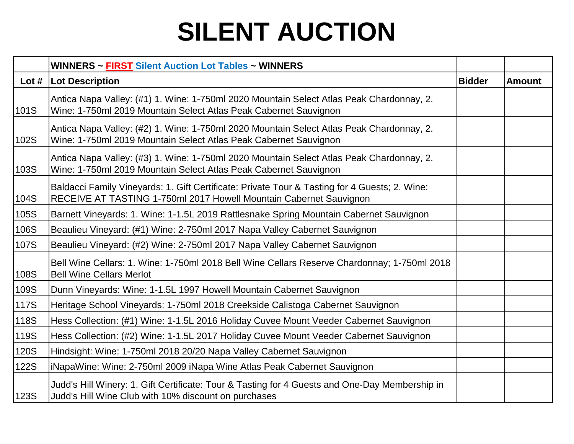|             | <b>WINNERS ~ FIRST Silent Auction Lot Tables ~ WINNERS</b>                                                                                                          |               |               |
|-------------|---------------------------------------------------------------------------------------------------------------------------------------------------------------------|---------------|---------------|
|             | Lot #   Lot Description                                                                                                                                             | <b>Bidder</b> | <b>Amount</b> |
| 101S        | Antica Napa Valley: (#1) 1. Wine: 1-750ml 2020 Mountain Select Atlas Peak Chardonnay, 2.<br>Wine: 1-750ml 2019 Mountain Select Atlas Peak Cabernet Sauvignon        |               |               |
| 102S        | Antica Napa Valley: (#2) 1. Wine: 1-750ml 2020 Mountain Select Atlas Peak Chardonnay, 2.<br>Wine: 1-750ml 2019 Mountain Select Atlas Peak Cabernet Sauvignon        |               |               |
| 103S        | Antica Napa Valley: (#3) 1. Wine: 1-750ml 2020 Mountain Select Atlas Peak Chardonnay, 2.<br>Wine: 1-750ml 2019 Mountain Select Atlas Peak Cabernet Sauvignon        |               |               |
| 104S        | Baldacci Family Vineyards: 1. Gift Certificate: Private Tour & Tasting for 4 Guests; 2. Wine:<br>RECEIVE AT TASTING 1-750ml 2017 Howell Mountain Cabernet Sauvignon |               |               |
| 105S        | Barnett Vineyards: 1. Wine: 1-1.5L 2019 Rattlesnake Spring Mountain Cabernet Sauvignon                                                                              |               |               |
| 106S        | Beaulieu Vineyard: (#1) Wine: 2-750ml 2017 Napa Valley Cabernet Sauvignon                                                                                           |               |               |
| 107S        | Beaulieu Vineyard: (#2) Wine: 2-750ml 2017 Napa Valley Cabernet Sauvignon                                                                                           |               |               |
| 108S        | Bell Wine Cellars: 1. Wine: 1-750ml 2018 Bell Wine Cellars Reserve Chardonnay; 1-750ml 2018<br><b>Bell Wine Cellars Merlot</b>                                      |               |               |
| 109S        | Dunn Vineyards: Wine: 1-1.5L 1997 Howell Mountain Cabernet Sauvignon                                                                                                |               |               |
| <b>117S</b> | Heritage School Vineyards: 1-750ml 2018 Creekside Calistoga Cabernet Sauvignon                                                                                      |               |               |
| 118S        | Hess Collection: (#1) Wine: 1-1.5L 2016 Holiday Cuvee Mount Veeder Cabernet Sauvignon                                                                               |               |               |
| 119S        | Hess Collection: (#2) Wine: 1-1.5L 2017 Holiday Cuvee Mount Veeder Cabernet Sauvignon                                                                               |               |               |
| <b>120S</b> | Hindsight: Wine: 1-750ml 2018 20/20 Napa Valley Cabernet Sauvignon                                                                                                  |               |               |
| <b>122S</b> | iNapaWine: Wine: 2-750ml 2009 iNapa Wine Atlas Peak Cabernet Sauvignon                                                                                              |               |               |
| <b>123S</b> | Judd's Hill Winery: 1. Gift Certificate: Tour & Tasting for 4 Guests and One-Day Membership in<br>Judd's Hill Wine Club with 10% discount on purchases              |               |               |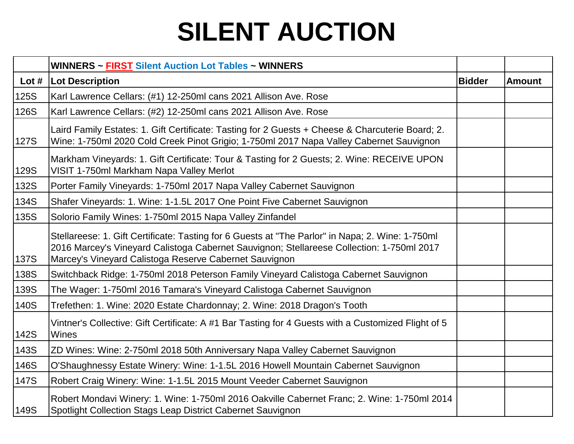|             | <b>WINNERS ~ FIRST Silent Auction Lot Tables ~ WINNERS</b>                                                                                                                                                                                              |               |               |
|-------------|---------------------------------------------------------------------------------------------------------------------------------------------------------------------------------------------------------------------------------------------------------|---------------|---------------|
| Lot $#$     | Lot Description                                                                                                                                                                                                                                         | <b>Bidder</b> | <b>Amount</b> |
| 125S        | Karl Lawrence Cellars: (#1) 12-250ml cans 2021 Allison Ave. Rose                                                                                                                                                                                        |               |               |
| 126S        | Karl Lawrence Cellars: (#2) 12-250ml cans 2021 Allison Ave. Rose                                                                                                                                                                                        |               |               |
| <b>127S</b> | Laird Family Estates: 1. Gift Certificate: Tasting for 2 Guests + Cheese & Charcuterie Board; 2.<br>Wine: 1-750ml 2020 Cold Creek Pinot Grigio; 1-750ml 2017 Napa Valley Cabernet Sauvignon                                                             |               |               |
| 129S        | Markham Vineyards: 1. Gift Certificate: Tour & Tasting for 2 Guests; 2. Wine: RECEIVE UPON<br>VISIT 1-750ml Markham Napa Valley Merlot                                                                                                                  |               |               |
| 132S        | Porter Family Vineyards: 1-750ml 2017 Napa Valley Cabernet Sauvignon                                                                                                                                                                                    |               |               |
| 134S        | Shafer Vineyards: 1. Wine: 1-1.5L 2017 One Point Five Cabernet Sauvignon                                                                                                                                                                                |               |               |
| 135S        | Solorio Family Wines: 1-750ml 2015 Napa Valley Zinfandel                                                                                                                                                                                                |               |               |
| <b>137S</b> | Stellareese: 1. Gift Certificate: Tasting for 6 Guests at "The Parlor" in Napa; 2. Wine: 1-750ml<br>2016 Marcey's Vineyard Calistoga Cabernet Sauvignon; Stellareese Collection: 1-750ml 2017<br>Marcey's Vineyard Calistoga Reserve Cabernet Sauvignon |               |               |
| 138S        | Switchback Ridge: 1-750ml 2018 Peterson Family Vineyard Calistoga Cabernet Sauvignon                                                                                                                                                                    |               |               |
| 139S        | The Wager: 1-750ml 2016 Tamara's Vineyard Calistoga Cabernet Sauvignon                                                                                                                                                                                  |               |               |
| 140S        | Trefethen: 1. Wine: 2020 Estate Chardonnay; 2. Wine: 2018 Dragon's Tooth                                                                                                                                                                                |               |               |
| <b>142S</b> | Vintner's Collective: Gift Certificate: A #1 Bar Tasting for 4 Guests with a Customized Flight of 5<br>Wines                                                                                                                                            |               |               |
| 143S        | ZD Wines: Wine: 2-750ml 2018 50th Anniversary Napa Valley Cabernet Sauvignon                                                                                                                                                                            |               |               |
| 146S        | O'Shaughnessy Estate Winery: Wine: 1-1.5L 2016 Howell Mountain Cabernet Sauvignon                                                                                                                                                                       |               |               |
| <b>147S</b> | Robert Craig Winery: Wine: 1-1.5L 2015 Mount Veeder Cabernet Sauvignon                                                                                                                                                                                  |               |               |
| <b>149S</b> | Robert Mondavi Winery: 1. Wine: 1-750ml 2016 Oakville Cabernet Franc; 2. Wine: 1-750ml 2014<br>Spotlight Collection Stags Leap District Cabernet Sauvignon                                                                                              |               |               |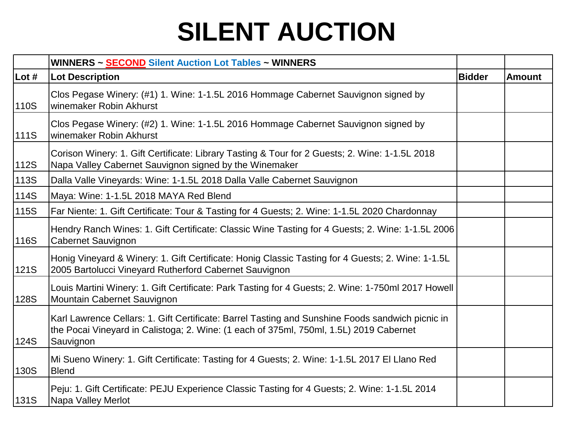|             | WINNERS ~ SECOND Silent Auction Lot Tables ~ WINNERS                                                                                                                                                    |               |               |
|-------------|---------------------------------------------------------------------------------------------------------------------------------------------------------------------------------------------------------|---------------|---------------|
| Lot #       | <b>Lot Description</b>                                                                                                                                                                                  | <b>Bidder</b> | <b>Amount</b> |
| 110S        | Clos Pegase Winery: (#1) 1. Wine: 1-1.5L 2016 Hommage Cabernet Sauvignon signed by<br>winemaker Robin Akhurst                                                                                           |               |               |
| <b>111S</b> | Clos Pegase Winery: (#2) 1. Wine: 1-1.5L 2016 Hommage Cabernet Sauvignon signed by<br>winemaker Robin Akhurst                                                                                           |               |               |
| 112S        | Corison Winery: 1. Gift Certificate: Library Tasting & Tour for 2 Guests; 2. Wine: 1-1.5L 2018<br>Napa Valley Cabernet Sauvignon signed by the Winemaker                                                |               |               |
| 113S        | Dalla Valle Vineyards: Wine: 1-1.5L 2018 Dalla Valle Cabernet Sauvignon                                                                                                                                 |               |               |
| 114S        | Maya: Wine: 1-1.5L 2018 MAYA Red Blend                                                                                                                                                                  |               |               |
| 115S        | Far Niente: 1. Gift Certificate: Tour & Tasting for 4 Guests; 2. Wine: 1-1.5L 2020 Chardonnay                                                                                                           |               |               |
| <b>116S</b> | Hendry Ranch Wines: 1. Gift Certificate: Classic Wine Tasting for 4 Guests; 2. Wine: 1-1.5L 2006<br><b>Cabernet Sauvignon</b>                                                                           |               |               |
| <b>121S</b> | Honig Vineyard & Winery: 1. Gift Certificate: Honig Classic Tasting for 4 Guests; 2. Wine: 1-1.5L<br>2005 Bartolucci Vineyard Rutherford Cabernet Sauvignon                                             |               |               |
| <b>128S</b> | Louis Martini Winery: 1. Gift Certificate: Park Tasting for 4 Guests; 2. Wine: 1-750ml 2017 Howell<br>Mountain Cabernet Sauvignon                                                                       |               |               |
| 124S        | Karl Lawrence Cellars: 1. Gift Certificate: Barrel Tasting and Sunshine Foods sandwich picnic in<br>the Pocai Vineyard in Calistoga; 2. Wine: (1 each of 375ml, 750ml, 1.5L) 2019 Cabernet<br>Sauvignon |               |               |
| 130S        | Mi Sueno Winery: 1. Gift Certificate: Tasting for 4 Guests; 2. Wine: 1-1.5L 2017 El Llano Red<br><b>Blend</b>                                                                                           |               |               |
| <b>131S</b> | Peju: 1. Gift Certificate: PEJU Experience Classic Tasting for 4 Guests; 2. Wine: 1-1.5L 2014<br>Napa Valley Merlot                                                                                     |               |               |